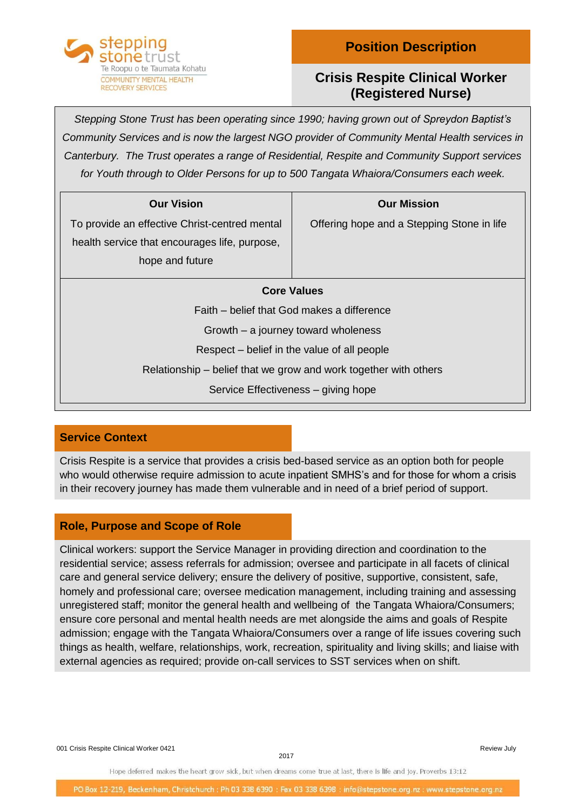

## **Position Description**

### **Crisis Respite Clinical Worker (Registered Nurse)**

*Stepping Stone Trust has been operating since 1990; having grown out of Spreydon Baptist's Community Services and is now the largest NGO provider of Community Mental Health services in Canterbury. The Trust operates a range of Residential, Respite and Community Support services for Youth through to Older Persons for up to 500 Tangata Whaiora/Consumers each week.*

| <b>Our Vision</b>                                                | <b>Our Mission</b>                         |  |
|------------------------------------------------------------------|--------------------------------------------|--|
| To provide an effective Christ-centred mental                    | Offering hope and a Stepping Stone in life |  |
| health service that encourages life, purpose,                    |                                            |  |
| hope and future                                                  |                                            |  |
| <b>Core Values</b>                                               |                                            |  |
| Faith – belief that God makes a difference                       |                                            |  |
| Growth – a journey toward wholeness                              |                                            |  |
| Respect – belief in the value of all people                      |                                            |  |
| Relationship – belief that we grow and work together with others |                                            |  |
| Service Effectiveness – giving hope                              |                                            |  |

#### **Service Context**

Crisis Respite is a service that provides a crisis bed-based service as an option both for people who would otherwise require admission to acute inpatient SMHS's and for those for whom a crisis in their recovery journey has made them vulnerable and in need of a brief period of support.

#### **Role, Purpose and Scope of Role**

Clinical workers: support the Service Manager in providing direction and coordination to the residential service; assess referrals for admission; oversee and participate in all facets of clinical care and general service delivery; ensure the delivery of positive, supportive, consistent, safe, homely and professional care; oversee medication management, including training and assessing unregistered staff; monitor the general health and wellbeing of the Tangata Whaiora/Consumers; ensure core personal and mental health needs are met alongside the aims and goals of Respite admission; engage with the Tangata Whaiora/Consumers over a range of life issues covering such things as health, welfare, relationships, work, recreation, spirituality and living skills; and liaise with external agencies as required; provide on-call services to SST services when on shift.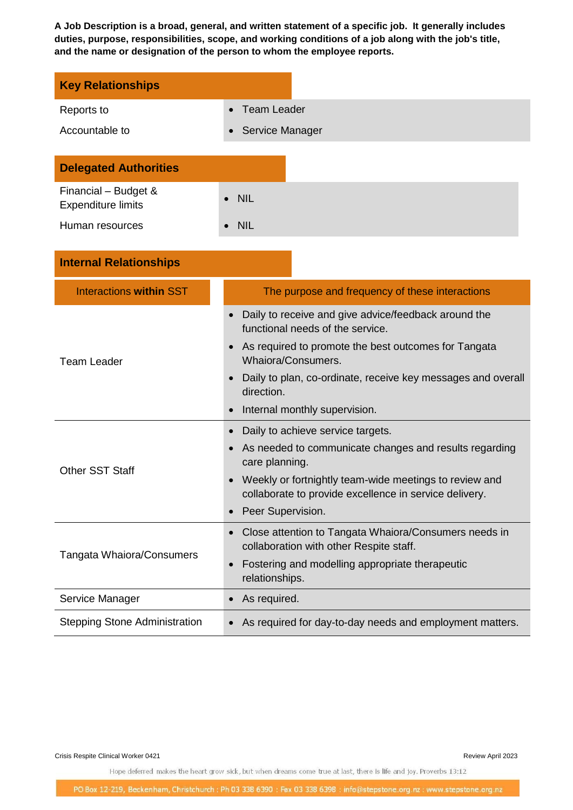**A Job Description is a broad, [general,](http://www.businessdictionary.com/definition/general.html) and written [statement](http://www.businessdictionary.com/definition/statement.html) of a specific job. It generally includes [duties,](http://www.businessdictionary.com/definition/duty.html) purpose, [responsibilities,](http://www.businessdictionary.com/definition/responsibility.html) [scope,](http://www.businessdictionary.com/definition/scope.html) and [working conditions](http://www.businessdictionary.com/definition/working-conditions.html) of a job along with the [job's](http://www.businessdictionary.com/definition/job.html) [title,](http://www.businessdictionary.com/definition/title.html) and the name or [designation](http://www.businessdictionary.com/definition/designation.html) of the [person](http://www.businessdictionary.com/definition/person.html) to whom the [employee](http://www.businessdictionary.com/definition/employee.html) [reports.](http://www.businessdictionary.com/definition/report.html)**

| <b>Key Relationships</b>                          |                                                                                                                                                                                                                                                                                       |  |
|---------------------------------------------------|---------------------------------------------------------------------------------------------------------------------------------------------------------------------------------------------------------------------------------------------------------------------------------------|--|
| Reports to                                        | <b>Team Leader</b>                                                                                                                                                                                                                                                                    |  |
| Accountable to                                    | Service Manager                                                                                                                                                                                                                                                                       |  |
| <b>Delegated Authorities</b>                      |                                                                                                                                                                                                                                                                                       |  |
| Financial - Budget &<br><b>Expenditure limits</b> | <b>NIL</b>                                                                                                                                                                                                                                                                            |  |
| Human resources                                   | <b>NIL</b>                                                                                                                                                                                                                                                                            |  |
| <b>Internal Relationships</b>                     |                                                                                                                                                                                                                                                                                       |  |
| <b>Interactions within SST</b>                    | The purpose and frequency of these interactions                                                                                                                                                                                                                                       |  |
| <b>Team Leader</b>                                | Daily to receive and give advice/feedback around the<br>functional needs of the service.<br>As required to promote the best outcomes for Tangata<br>Whaiora/Consumers.<br>Daily to plan, co-ordinate, receive key messages and overall<br>direction.<br>Internal monthly supervision. |  |
| <b>Other SST Staff</b>                            | Daily to achieve service targets.<br>$\bullet$<br>As needed to communicate changes and results regarding<br>care planning.<br>Weekly or fortnightly team-wide meetings to review and<br>collaborate to provide excellence in service delivery.<br>Peer Supervision.                   |  |
| Tangata Whaiora/Consumers                         | Close attention to Tangata Whaiora/Consumers needs in<br>collaboration with other Respite staff.<br>Fostering and modelling appropriate therapeutic<br>relationships.                                                                                                                 |  |
| Service Manager                                   | As required.                                                                                                                                                                                                                                                                          |  |
| <b>Stepping Stone Administration</b>              | As required for day-to-day needs and employment matters.                                                                                                                                                                                                                              |  |

Crisis Respite Clinical Worker 0421 **Review April 2023 Review April 2023**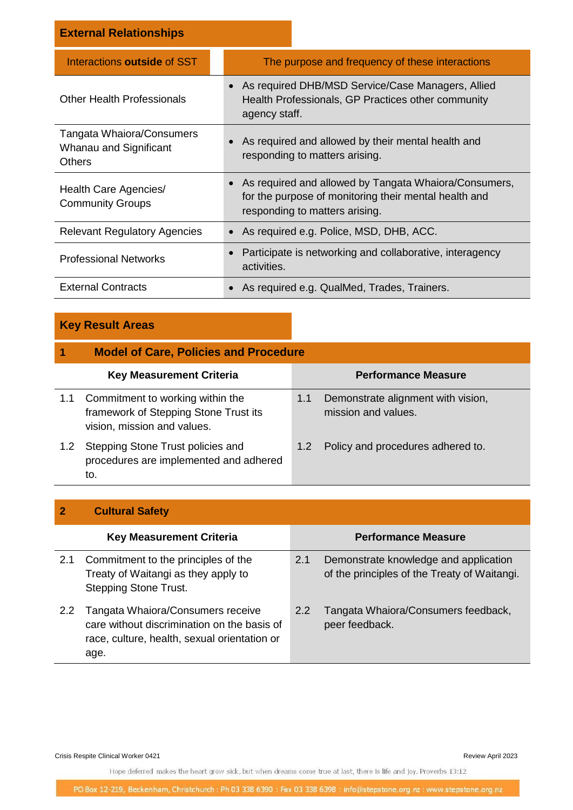| <b>External Relationships</b>                                        |                                                                                                                                                    |
|----------------------------------------------------------------------|----------------------------------------------------------------------------------------------------------------------------------------------------|
| Interactions outside of SST                                          | The purpose and frequency of these interactions                                                                                                    |
| <b>Other Health Professionals</b>                                    | • As required DHB/MSD Service/Case Managers, Allied<br>Health Professionals, GP Practices other community<br>agency staff.                         |
| Tangata Whaiora/Consumers<br>Whanau and Significant<br><b>Others</b> | As required and allowed by their mental health and<br>responding to matters arising.                                                               |
| Health Care Agencies/<br><b>Community Groups</b>                     | • As required and allowed by Tangata Whaiora/Consumers,<br>for the purpose of monitoring their mental health and<br>responding to matters arising. |
| <b>Relevant Regulatory Agencies</b>                                  | • As required e.g. Police, MSD, DHB, ACC.                                                                                                          |
| <b>Professional Networks</b>                                         | Participate is networking and collaborative, interagency<br>activities.                                                                            |
| <b>External Contracts</b>                                            | As required e.g. QualMed, Trades, Trainers.                                                                                                        |

# **Key Result Areas**

| 1   | <b>Model of Care, Policies and Procedure</b>                                                             |                  |                                                           |
|-----|----------------------------------------------------------------------------------------------------------|------------------|-----------------------------------------------------------|
|     | <b>Key Measurement Criteria</b>                                                                          |                  | <b>Performance Measure</b>                                |
| 1.1 | Commitment to working within the<br>framework of Stepping Stone Trust its<br>vision, mission and values. | 1.1              | Demonstrate alignment with vision,<br>mission and values. |
| 1.2 | Stepping Stone Trust policies and<br>procedures are implemented and adhered<br>to.                       | 1.2 <sub>1</sub> | Policy and procedures adhered to.                         |

| <b>Cultural Safety</b> |  |
|------------------------|--|
|                        |  |

|               | <b>Key Measurement Criteria</b>                                                                                                          |     | <b>Performance Measure</b>                                                            |
|---------------|------------------------------------------------------------------------------------------------------------------------------------------|-----|---------------------------------------------------------------------------------------|
| 2.1           | Commitment to the principles of the<br>Treaty of Waitangi as they apply to<br><b>Stepping Stone Trust.</b>                               | 2.1 | Demonstrate knowledge and application<br>of the principles of the Treaty of Waitangi. |
| $2.2^{\circ}$ | Tangata Whaiora/Consumers receive<br>care without discrimination on the basis of<br>race, culture, health, sexual orientation or<br>age. | 2.2 | Tangata Whaiora/Consumers feedback,<br>peer feedback.                                 |

Crisis Respite Clinical Worker 0421 **Review April 2023** Review April 2023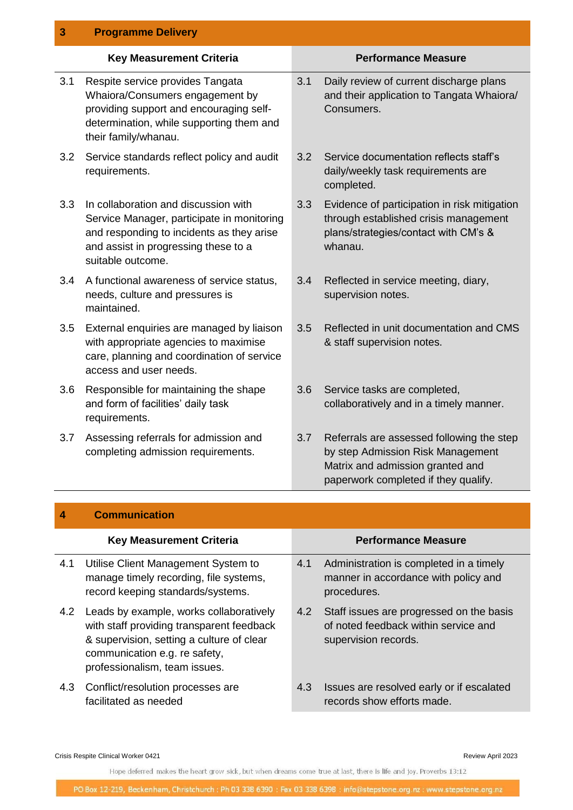| 3   | <b>Programme Delivery</b>                                                                                                                                                                    |     |                                                                                                                                                            |
|-----|----------------------------------------------------------------------------------------------------------------------------------------------------------------------------------------------|-----|------------------------------------------------------------------------------------------------------------------------------------------------------------|
|     | <b>Key Measurement Criteria</b>                                                                                                                                                              |     | <b>Performance Measure</b>                                                                                                                                 |
| 3.1 | Respite service provides Tangata<br>Whaiora/Consumers engagement by<br>providing support and encouraging self-<br>determination, while supporting them and<br>their family/whanau.           | 3.1 | Daily review of current discharge plans<br>and their application to Tangata Whaiora/<br>Consumers.                                                         |
| 3.2 | Service standards reflect policy and audit<br>requirements.                                                                                                                                  | 3.2 | Service documentation reflects staff's<br>daily/weekly task requirements are<br>completed.                                                                 |
| 3.3 | In collaboration and discussion with<br>Service Manager, participate in monitoring<br>and responding to incidents as they arise<br>and assist in progressing these to a<br>suitable outcome. | 3.3 | Evidence of participation in risk mitigation<br>through established crisis management<br>plans/strategies/contact with CM's &<br>whanau.                   |
| 3.4 | A functional awareness of service status,<br>needs, culture and pressures is<br>maintained.                                                                                                  | 3.4 | Reflected in service meeting, diary,<br>supervision notes.                                                                                                 |
| 3.5 | External enquiries are managed by liaison<br>with appropriate agencies to maximise<br>care, planning and coordination of service<br>access and user needs.                                   | 3.5 | Reflected in unit documentation and CMS<br>& staff supervision notes.                                                                                      |
| 3.6 | Responsible for maintaining the shape<br>and form of facilities' daily task<br>requirements.                                                                                                 | 3.6 | Service tasks are completed,<br>collaboratively and in a timely manner.                                                                                    |
| 3.7 | Assessing referrals for admission and<br>completing admission requirements.                                                                                                                  | 3.7 | Referrals are assessed following the step<br>by step Admission Risk Management<br>Matrix and admission granted and<br>paperwork completed if they qualify. |
| 4   | <b>Communication</b>                                                                                                                                                                         |     |                                                                                                                                                            |
|     |                                                                                                                                                                                              |     |                                                                                                                                                            |
|     | <b>Key Measurement Criteria</b>                                                                                                                                                              |     | <b>Performance Measure</b>                                                                                                                                 |
| 4.1 | Utilise Client Management System to<br>manage timely recording, file systems,<br>record keeping standards/systems.                                                                           | 4.1 | Administration is completed in a timely<br>manner in accordance with policy and<br>procedures.                                                             |

- 4.2 Leads by example, works collaboratively with staff providing transparent feedback & supervision, setting a culture of clear communication e.g. re safety, professionalism, team issues.
- 4.3 Conflict/resolution processes are facilitated as needed
- 4.2 Staff issues are progressed on the basis of noted feedback within service and supervision records.
- 4.3 Issues are resolved early or if escalated records show efforts made.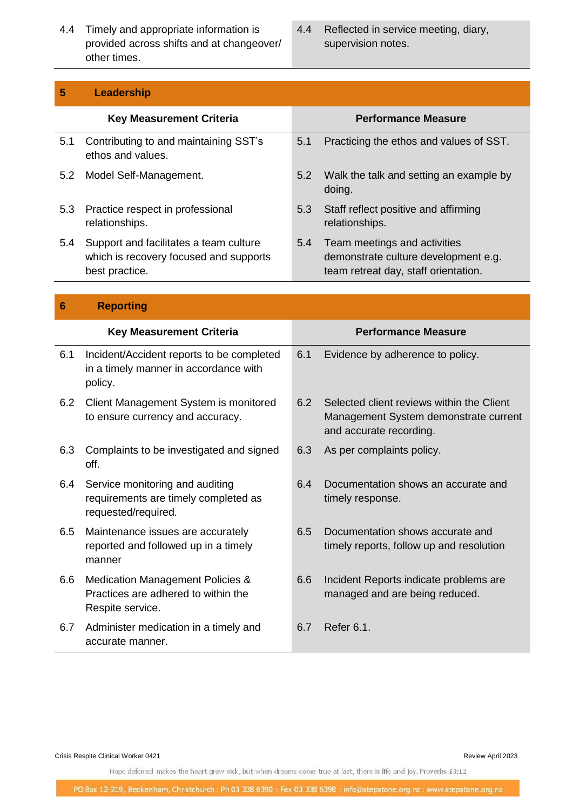- 4.4 Timely and appropriate information is provided across shifts and at changeover/ other times.
- 4.4 Reflected in service meeting, diary, supervision notes.

| -5 | Leadership |  |
|----|------------|--|
|    |            |  |
|    |            |  |

|     | <b>Key Measurement Criteria</b>                                                                    |     | <b>Performance Measure</b>                                                                                   |
|-----|----------------------------------------------------------------------------------------------------|-----|--------------------------------------------------------------------------------------------------------------|
| 5.1 | Contributing to and maintaining SST's<br>ethos and values.                                         | 5.1 | Practicing the ethos and values of SST.                                                                      |
| 5.2 | Model Self-Management.                                                                             | 5.2 | Walk the talk and setting an example by<br>doing.                                                            |
| 5.3 | Practice respect in professional<br>relationships.                                                 | 5.3 | Staff reflect positive and affirming<br>relationships.                                                       |
| 5.4 | Support and facilitates a team culture<br>which is recovery focused and supports<br>best practice. | 5.4 | Team meetings and activities<br>demonstrate culture development e.g.<br>team retreat day, staff orientation. |

| 6   | <b>Reporting</b>                                                                               |     |                                                                                                               |
|-----|------------------------------------------------------------------------------------------------|-----|---------------------------------------------------------------------------------------------------------------|
|     | <b>Key Measurement Criteria</b>                                                                |     | <b>Performance Measure</b>                                                                                    |
| 6.1 | Incident/Accident reports to be completed<br>in a timely manner in accordance with<br>policy.  | 6.1 | Evidence by adherence to policy.                                                                              |
| 6.2 | Client Management System is monitored<br>to ensure currency and accuracy.                      | 6.2 | Selected client reviews within the Client<br>Management System demonstrate current<br>and accurate recording. |
| 6.3 | Complaints to be investigated and signed<br>off.                                               | 6.3 | As per complaints policy.                                                                                     |
| 6.4 | Service monitoring and auditing<br>requirements are timely completed as<br>requested/required. | 6.4 | Documentation shows an accurate and<br>timely response.                                                       |
| 6.5 | Maintenance issues are accurately<br>reported and followed up in a timely<br>manner            | 6.5 | Documentation shows accurate and<br>timely reports, follow up and resolution                                  |
| 6.6 | Medication Management Policies &<br>Practices are adhered to within the<br>Respite service.    | 6.6 | Incident Reports indicate problems are<br>managed and are being reduced.                                      |
| 6.7 | Administer medication in a timely and<br>accurate manner.                                      | 6.7 | Refer 6.1.                                                                                                    |

Crisis Respite Clinical Worker 0421 **Review April 2023 Review April 2023** Review April 2023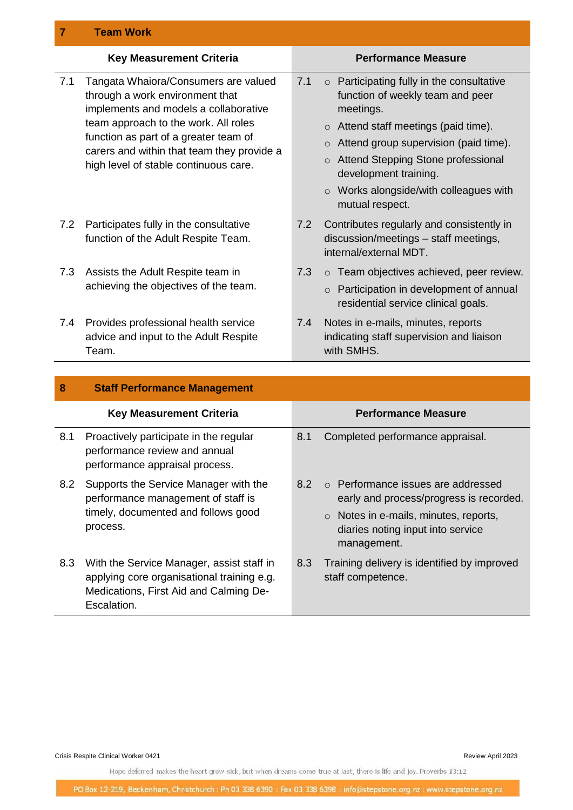| 7   | <b>Team Work</b>                                                                                                                                                                                                                                                                         |                                                                                                                                                                                                                                                                                                                                                         |  |
|-----|------------------------------------------------------------------------------------------------------------------------------------------------------------------------------------------------------------------------------------------------------------------------------------------|---------------------------------------------------------------------------------------------------------------------------------------------------------------------------------------------------------------------------------------------------------------------------------------------------------------------------------------------------------|--|
|     | <b>Key Measurement Criteria</b>                                                                                                                                                                                                                                                          | <b>Performance Measure</b>                                                                                                                                                                                                                                                                                                                              |  |
| 7.1 | Tangata Whaiora/Consumers are valued<br>through a work environment that<br>implements and models a collaborative<br>team approach to the work. All roles<br>function as part of a greater team of<br>carers and within that team they provide a<br>high level of stable continuous care. | 7.1<br>o Participating fully in the consultative<br>function of weekly team and peer<br>meetings.<br>Attend staff meetings (paid time).<br>$\circ$<br>Attend group supervision (paid time).<br>$\circ$<br>Attend Stepping Stone professional<br>$\Omega$<br>development training.<br>Works alongside/with colleagues with<br>$\circ$<br>mutual respect. |  |
| 7.2 | Participates fully in the consultative<br>function of the Adult Respite Team.                                                                                                                                                                                                            | Contributes regularly and consistently in<br>7.2<br>discussion/meetings - staff meetings,<br>internal/external MDT.                                                                                                                                                                                                                                     |  |
| 7.3 | Assists the Adult Respite team in<br>achieving the objectives of the team.                                                                                                                                                                                                               | 7.3<br>$\circ$ Team objectives achieved, peer review.<br>Participation in development of annual<br>$\Omega$<br>residential service clinical goals.                                                                                                                                                                                                      |  |
| 7.4 | Provides professional health service<br>advice and input to the Adult Respite<br>Team.                                                                                                                                                                                                   | Notes in e-mails, minutes, reports<br>7.4<br>indicating staff supervision and liaison<br>with SMHS.                                                                                                                                                                                                                                                     |  |

| 8   | <b>Staff Performance Management</b>                                                                                                              |     |                                                                                                                                                                                  |
|-----|--------------------------------------------------------------------------------------------------------------------------------------------------|-----|----------------------------------------------------------------------------------------------------------------------------------------------------------------------------------|
|     | <b>Key Measurement Criteria</b>                                                                                                                  |     | <b>Performance Measure</b>                                                                                                                                                       |
| 8.1 | Proactively participate in the regular<br>performance review and annual<br>performance appraisal process.                                        | 8.1 | Completed performance appraisal.                                                                                                                                                 |
| 8.2 | Supports the Service Manager with the<br>performance management of staff is<br>timely, documented and follows good<br>process.                   | 8.2 | ○ Performance issues are addressed<br>early and process/progress is recorded.<br>$\circ$ Notes in e-mails, minutes, reports,<br>diaries noting input into service<br>management. |
| 8.3 | With the Service Manager, assist staff in<br>applying core organisational training e.g.<br>Medications, First Aid and Calming De-<br>Escalation. | 8.3 | Training delivery is identified by improved<br>staff competence.                                                                                                                 |

Crisis Respite Clinical Worker 0421 **Review April 2023** Review April 2023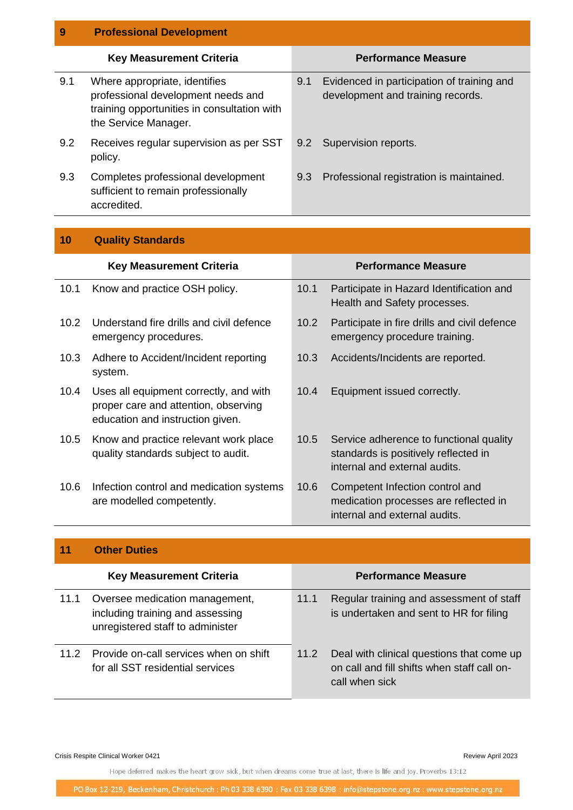#### **9 Professional Development**

|     | <b>Key Measurement Criteria</b>                                                                                                            |     | <b>Performance Measure</b>                                                      |
|-----|--------------------------------------------------------------------------------------------------------------------------------------------|-----|---------------------------------------------------------------------------------|
| 9.1 | Where appropriate, identifies<br>professional development needs and<br>training opportunities in consultation with<br>the Service Manager. | 9.1 | Evidenced in participation of training and<br>development and training records. |
| 9.2 | Receives regular supervision as per SST<br>policy.                                                                                         | 9.2 | Supervision reports.                                                            |
| 9.3 | Completes professional development<br>sufficient to remain professionally<br>accredited.                                                   | 9.3 | Professional registration is maintained.                                        |

#### **10 Quality Standards**

|      | <b>Key Measurement Criteria</b>                                                                                    |                   | <b>Performance Measure</b>                                                                                       |
|------|--------------------------------------------------------------------------------------------------------------------|-------------------|------------------------------------------------------------------------------------------------------------------|
| 10.1 | Know and practice OSH policy.                                                                                      | 10.1              | Participate in Hazard Identification and<br>Health and Safety processes.                                         |
| 10.2 | Understand fire drills and civil defence<br>emergency procedures.                                                  | 10.2 <sub>1</sub> | Participate in fire drills and civil defence<br>emergency procedure training.                                    |
| 10.3 | Adhere to Accident/Incident reporting<br>system.                                                                   | 10.3              | Accidents/Incidents are reported.                                                                                |
| 10.4 | Uses all equipment correctly, and with<br>proper care and attention, observing<br>education and instruction given. | 10.4              | Equipment issued correctly.                                                                                      |
| 10.5 | Know and practice relevant work place<br>quality standards subject to audit.                                       | 10.5              | Service adherence to functional quality<br>standards is positively reflected in<br>internal and external audits. |
| 10.6 | Infection control and medication systems<br>are modelled competently.                                              | 10.6              | Competent Infection control and<br>medication processes are reflected in<br>internal and external audits.        |

| 11   | <b>Other Duties</b>                                                                                    |      |                                                                                                            |
|------|--------------------------------------------------------------------------------------------------------|------|------------------------------------------------------------------------------------------------------------|
|      | <b>Key Measurement Criteria</b>                                                                        |      | <b>Performance Measure</b>                                                                                 |
| 11.1 | Oversee medication management,<br>including training and assessing<br>unregistered staff to administer | 11.1 | Regular training and assessment of staff<br>is undertaken and sent to HR for filing                        |
| 11.2 | Provide on-call services when on shift<br>for all SST residential services                             | 11.2 | Deal with clinical questions that come up<br>on call and fill shifts when staff call on-<br>call when sick |

Crisis Respite Clinical Worker 0421 **Review April 2023** Review April 2023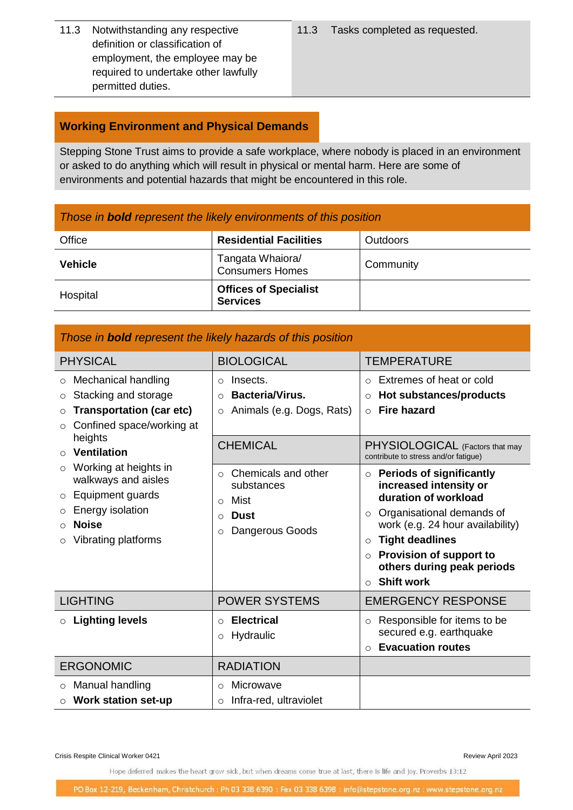- 11.3 Notwithstanding any respective definition or classification of employment, the employee may be required to undertake other lawfully permitted duties.
- 11.3 Tasks completed as requested.

#### **Working Environment and Physical Demands**

Stepping Stone Trust aims to provide a safe workplace, where nobody is placed in an environment or asked to do anything which will result in physical or mental harm. Here are some of environments and potential hazards that might be encountered in this role.

#### *Those in bold represent the likely environments of this position*

| Office         | <b>Residential Facilities</b>                   | <b>Outdoors</b> |
|----------------|-------------------------------------------------|-----------------|
| <b>Vehicle</b> | Tangata Whaiora/<br><b>Consumers Homes</b>      | Community       |
| Hospital       | <b>Offices of Specialist</b><br><b>Services</b> |                 |

| Those in <b>bold</b> represent the likely hazards of this position                                                                                  |                                                                                                                           |                                                                                                                                                                                                                                                                                                      |  |
|-----------------------------------------------------------------------------------------------------------------------------------------------------|---------------------------------------------------------------------------------------------------------------------------|------------------------------------------------------------------------------------------------------------------------------------------------------------------------------------------------------------------------------------------------------------------------------------------------------|--|
| <b>PHYSICAL</b>                                                                                                                                     | <b>BIOLOGICAL</b>                                                                                                         | <b>TEMPERATURE</b>                                                                                                                                                                                                                                                                                   |  |
| <b>Mechanical handling</b><br>$\circ$<br>Stacking and storage<br>$\circ$<br><b>Transportation (car etc)</b><br>$\circ$<br>Confined space/working at | Insects.<br>$\Omega$<br><b>Bacteria/Virus.</b><br>$\Omega$<br>Animals (e.g. Dogs, Rats)<br>$\circ$                        | Extremes of heat or cold<br>Hot substances/products<br>$\circ$<br><b>Fire hazard</b><br>$\circ$                                                                                                                                                                                                      |  |
| heights<br>Ventilation<br>$\circ$                                                                                                                   | <b>CHEMICAL</b>                                                                                                           | PHYSIOLOGICAL (Factors that may<br>contribute to stress and/or fatigue)                                                                                                                                                                                                                              |  |
| Working at heights in<br>walkways and aisles<br>Equipment guards<br>$\circ$<br>Energy isolation<br><b>Noise</b><br>$\circ$<br>Vibrating platforms   | Chemicals and other<br>$\circ$<br>substances<br><b>Mist</b><br>$\circ$<br><b>Dust</b><br>$\Omega$<br>Dangerous Goods<br>O | <b>Periods of significantly</b><br>$\circ$<br>increased intensity or<br>duration of workload<br>Organisational demands of<br>$\circ$<br>work (e.g. 24 hour availability)<br><b>Tight deadlines</b><br>$\circ$ Provision of support to<br>others during peak periods<br><b>Shift work</b><br>$\Omega$ |  |
| <b>LIGHTING</b>                                                                                                                                     | <b>POWER SYSTEMS</b>                                                                                                      | <b>EMERGENCY RESPONSE</b>                                                                                                                                                                                                                                                                            |  |
| <b>Lighting levels</b><br>$\circ$                                                                                                                   | <b>Electrical</b><br>$\Omega$<br>Hydraulic<br>$\circ$                                                                     | Responsible for items to be<br>$\circ$<br>secured e.g. earthquake<br><b>Evacuation routes</b><br>$\circ$                                                                                                                                                                                             |  |
| <b>ERGONOMIC</b>                                                                                                                                    | <b>RADIATION</b>                                                                                                          |                                                                                                                                                                                                                                                                                                      |  |
| Manual handling<br>$\circ$<br>$\circ$ Work station set-up                                                                                           | Microwave<br>$\circ$<br>Infra-red, ultraviolet<br>$\circ$                                                                 |                                                                                                                                                                                                                                                                                                      |  |

Crisis Respite Clinical Worker 0421 **Crisis Respite Clinical Worker 0421** Review April 2023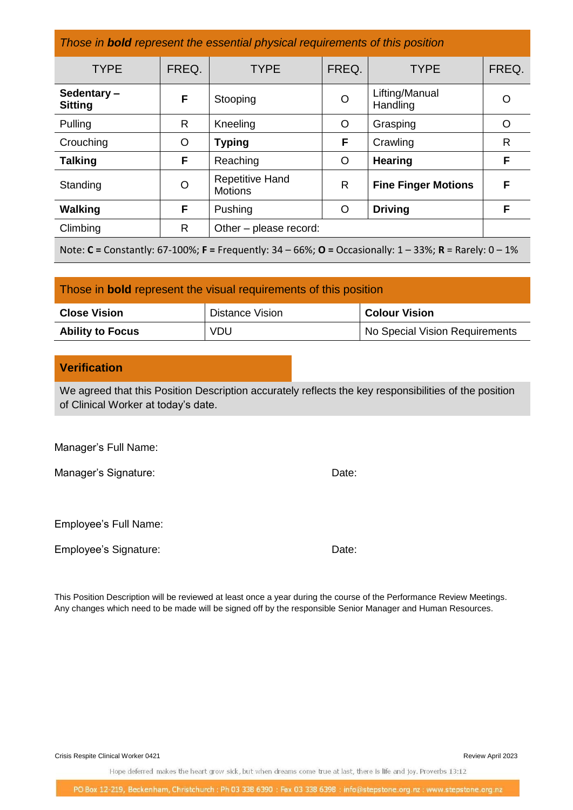| Manager's Full Name:  |       |
|-----------------------|-------|
| Manager's Signature:  | Date: |
|                       |       |
| Employee's Full Name: |       |
| Employee's Signature: | Date: |
|                       |       |

This Position Description will be reviewed at least once a year during the course of the Performance Review Meetings. Any changes which need to be made will be signed off by the responsible Senior Manager and Human Resources.

Crisis Respite Clinical Worker 0421 **Crisis Respite Clinical Worker 0421** Review April 2023

**Verification**

of Clinical Worker at today's date.

Hope deferred makes the heart grow sick, but when dreams come true at last, there is life and joy. Proverbs 13:12

#### PO Box 12-219, Beckenham, Christchurch : Ph 03 338 6390 : Fax 03 338 6398 : info@stepstone.org.nz : www.stepstone.org.nz

| Those in <b>bold</b> represent the essential physical requirements of this position                      |       |                            |         |                            |       |
|----------------------------------------------------------------------------------------------------------|-------|----------------------------|---------|----------------------------|-------|
| <b>TYPE</b>                                                                                              | FREQ. | <b>TYPE</b>                | FREQ.   | <b>TYPE</b>                | FREQ. |
| Sedentary-<br><b>Sitting</b>                                                                             | F     | Stooping                   | O       | Lifting/Manual<br>Handling | O     |
| Pulling                                                                                                  | R.    | Kneeling                   | $\circ$ | Grasping                   | O     |
| Crouching                                                                                                | O     | <b>Typing</b>              | F       | Crawling                   | R     |
| <b>Talking</b>                                                                                           | F     | Reaching                   | $\circ$ | <b>Hearing</b>             | F     |
| <b>Repetitive Hand</b><br>R<br>Standing<br>O<br><b>Motions</b>                                           |       | <b>Fine Finger Motions</b> | F       |                            |       |
| F<br><b>Walking</b><br><b>Driving</b><br>Pushing<br>$\Omega$                                             |       | F                          |         |                            |       |
| Climbing<br>Other - please record:<br>R                                                                  |       |                            |         |                            |       |
| Note: $C =$ Constantly: 67-100%; F = Frequently: 34 – 66%; O = Occasionally: 1 – 33%; R = Rarely: 0 – 1% |       |                            |         |                            |       |

**Ability to Focus**  $|$  VDU  $|$  No Special Vision Requirements

We agreed that this Position Description accurately reflects the key responsibilities of the position

Those in **bold** represent the visual requirements of this position

**Close Vision Distance Vision Close Vision**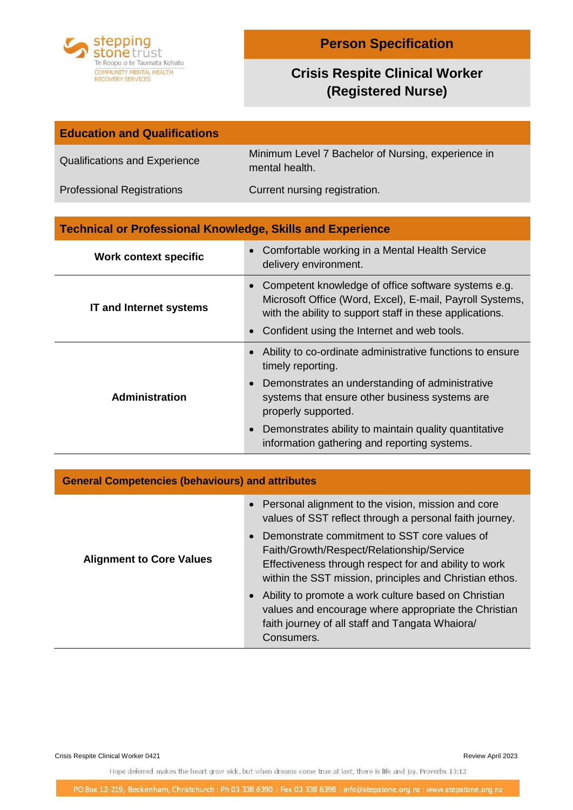

# **Person Specification**

# **Crisis Respite Clinical Worker (Registered Nurse)**

| <b>Education and Qualifications</b>  |                                                                      |
|--------------------------------------|----------------------------------------------------------------------|
| <b>Qualifications and Experience</b> | Minimum Level 7 Bachelor of Nursing, experience in<br>mental health. |
| <b>Professional Registrations</b>    | Current nursing registration.                                        |

# **Technical or Professional Knowledge, Skills and Experience**

| <b>Work context specific</b> | • Comfortable working in a Mental Health Service<br>delivery environment.                                                                                                   |
|------------------------------|-----------------------------------------------------------------------------------------------------------------------------------------------------------------------------|
| IT and Internet systems      | Competent knowledge of office software systems e.g.<br>Microsoft Office (Word, Excel), E-mail, Payroll Systems,<br>with the ability to support staff in these applications. |
|                              | Confident using the Internet and web tools.                                                                                                                                 |
|                              | Ability to co-ordinate administrative functions to ensure<br>timely reporting.                                                                                              |
| <b>Administration</b>        | Demonstrates an understanding of administrative<br>systems that ensure other business systems are<br>properly supported.                                                    |
|                              | Demonstrates ability to maintain quality quantitative<br>information gathering and reporting systems.                                                                       |

| <b>General Competencies (behaviours) and attributes</b> |                                                                                                                                                                                                                 |  |
|---------------------------------------------------------|-----------------------------------------------------------------------------------------------------------------------------------------------------------------------------------------------------------------|--|
|                                                         | • Personal alignment to the vision, mission and core<br>values of SST reflect through a personal faith journey.                                                                                                 |  |
| <b>Alignment to Core Values</b>                         | • Demonstrate commitment to SST core values of<br>Faith/Growth/Respect/Relationship/Service<br>Effectiveness through respect for and ability to work<br>within the SST mission, principles and Christian ethos. |  |
|                                                         | • Ability to promote a work culture based on Christian<br>values and encourage where appropriate the Christian<br>faith journey of all staff and Tangata Whaiora/<br>Consumers.                                 |  |

Crisis Respite Clinical Worker 0421 **Review April 2023 Review April 2023** Review April 2023